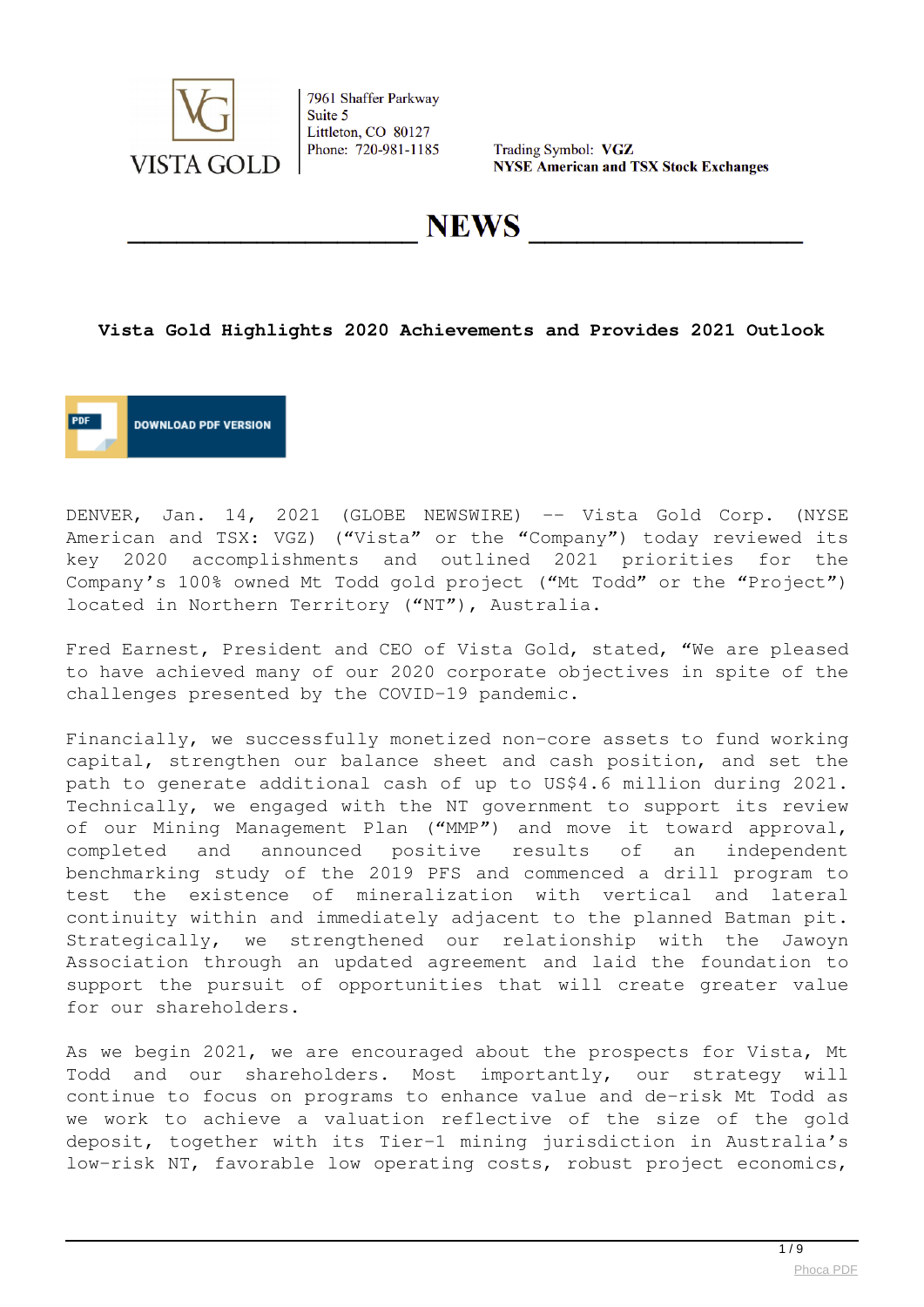

Trading Symbol: VGZ **NYSE American and TSX Stock Exchanges** 

**NEWS** 

## **Vista Gold Highlights 2020 Achievements and Provides 2021 Outlook**



DENVER, Jan. 14, 2021 (GLOBE NEWSWIRE) -- Vista Gold Corp. (NYSE American and TSX: VGZ) ("Vista" or the "Company") today reviewed its key 2020 accomplishments and outlined 2021 priorities for the Company's 100% owned Mt Todd gold project ("Mt Todd" or the "Project") located in Northern Territory ("NT"), Australia.

Fred Earnest, President and CEO of Vista Gold, stated, "We are pleased to have achieved many of our 2020 corporate objectives in spite of the challenges presented by the COVID-19 pandemic.

Financially, we successfully monetized non-core assets to fund working capital, strengthen our balance sheet and cash position, and set the path to generate additional cash of up to US\$4.6 million during 2021. Technically, we engaged with the NT government to support its review of our Mining Management Plan ("MMP") and move it toward approval, completed and announced positive results of an independent benchmarking study of the 2019 PFS and commenced a drill program to test the existence of mineralization with vertical and lateral continuity within and immediately adjacent to the planned Batman pit. Strategically, we strengthened our relationship with the Jawoyn Association through an updated agreement and laid the foundation to support the pursuit of opportunities that will create greater value for our shareholders.

As we begin 2021, we are encouraged about the prospects for Vista, Mt Todd and our shareholders. Most importantly, our strategy will continue to focus on programs to enhance value and de-risk Mt Todd as we work to achieve a valuation reflective of the size of the gold deposit, together with its Tier-1 mining jurisdiction in Australia's low-risk NT, favorable low operating costs, robust project economics,

 $1/9$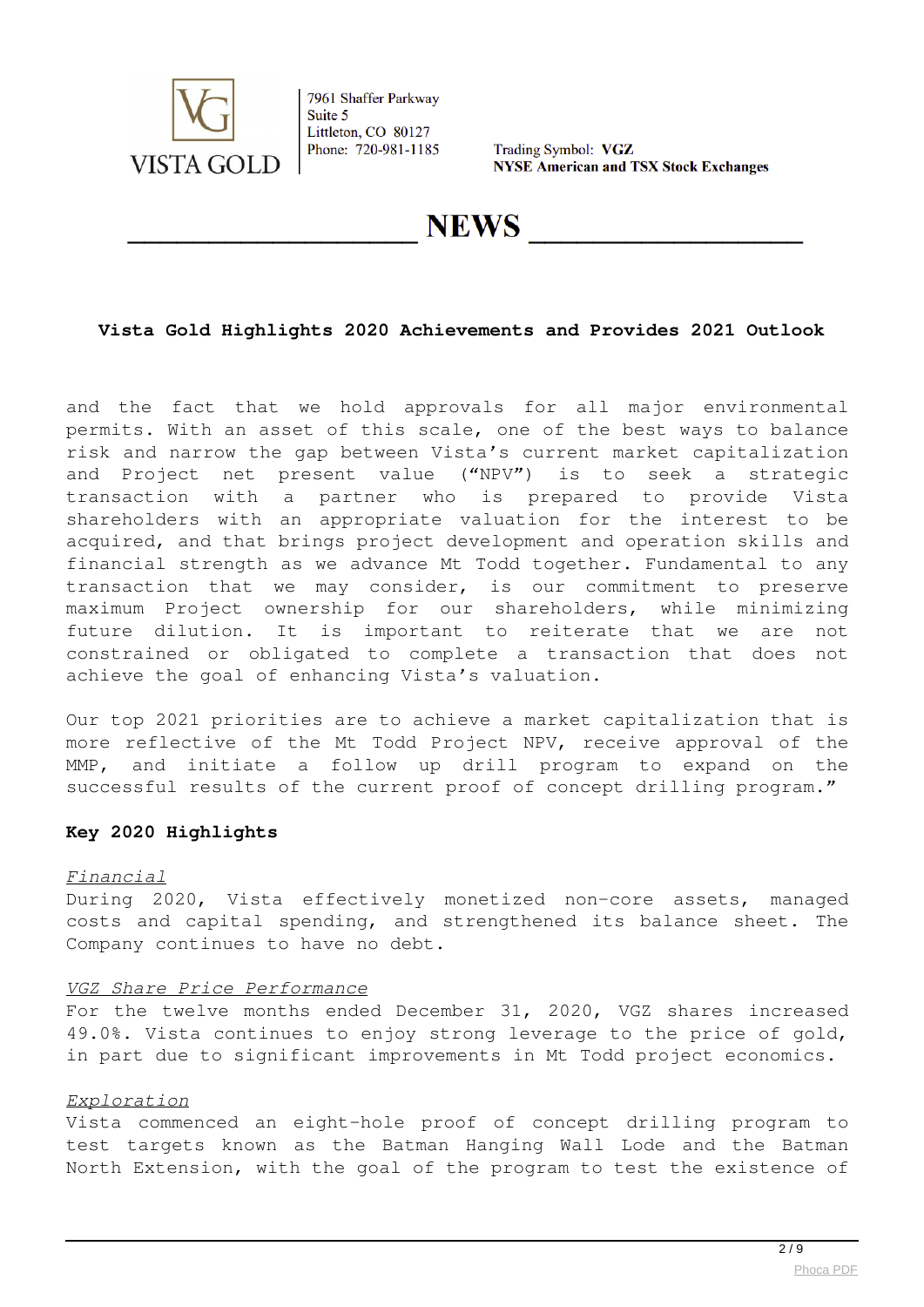

Trading Symbol: VGZ **NYSE American and TSX Stock Exchanges** 

**NEWS** 

## **Vista Gold Highlights 2020 Achievements and Provides 2021 Outlook**

and the fact that we hold approvals for all major environmental permits. With an asset of this scale, one of the best ways to balance risk and narrow the gap between Vista's current market capitalization and Project net present value ("NPV") is to seek a strategic transaction with a partner who is prepared to provide Vista shareholders with an appropriate valuation for the interest to be acquired, and that brings project development and operation skills and financial strength as we advance Mt Todd together. Fundamental to any transaction that we may consider, is our commitment to preserve maximum Project ownership for our shareholders, while minimizing future dilution. It is important to reiterate that we are not constrained or obligated to complete a transaction that does not achieve the goal of enhancing Vista's valuation.

Our top 2021 priorities are to achieve a market capitalization that is more reflective of the Mt Todd Project NPV, receive approval of the MMP, and initiate a follow up drill program to expand on the successful results of the current proof of concept drilling program."

## **Key 2020 Highlights**

#### *Financial*

During 2020, Vista effectively monetized non-core assets, managed costs and capital spending, and strengthened its balance sheet. The Company continues to have no debt.

#### *VGZ Share Price Performance*

For the twelve months ended December 31, 2020, VGZ shares increased 49.0%. Vista continues to enjoy strong leverage to the price of gold, in part due to significant improvements in Mt Todd project economics.

#### *Exploration*

Vista commenced an eight-hole proof of concept drilling program to test targets known as the Batman Hanging Wall Lode and the Batman North Extension, with the goal of the program to test the existence of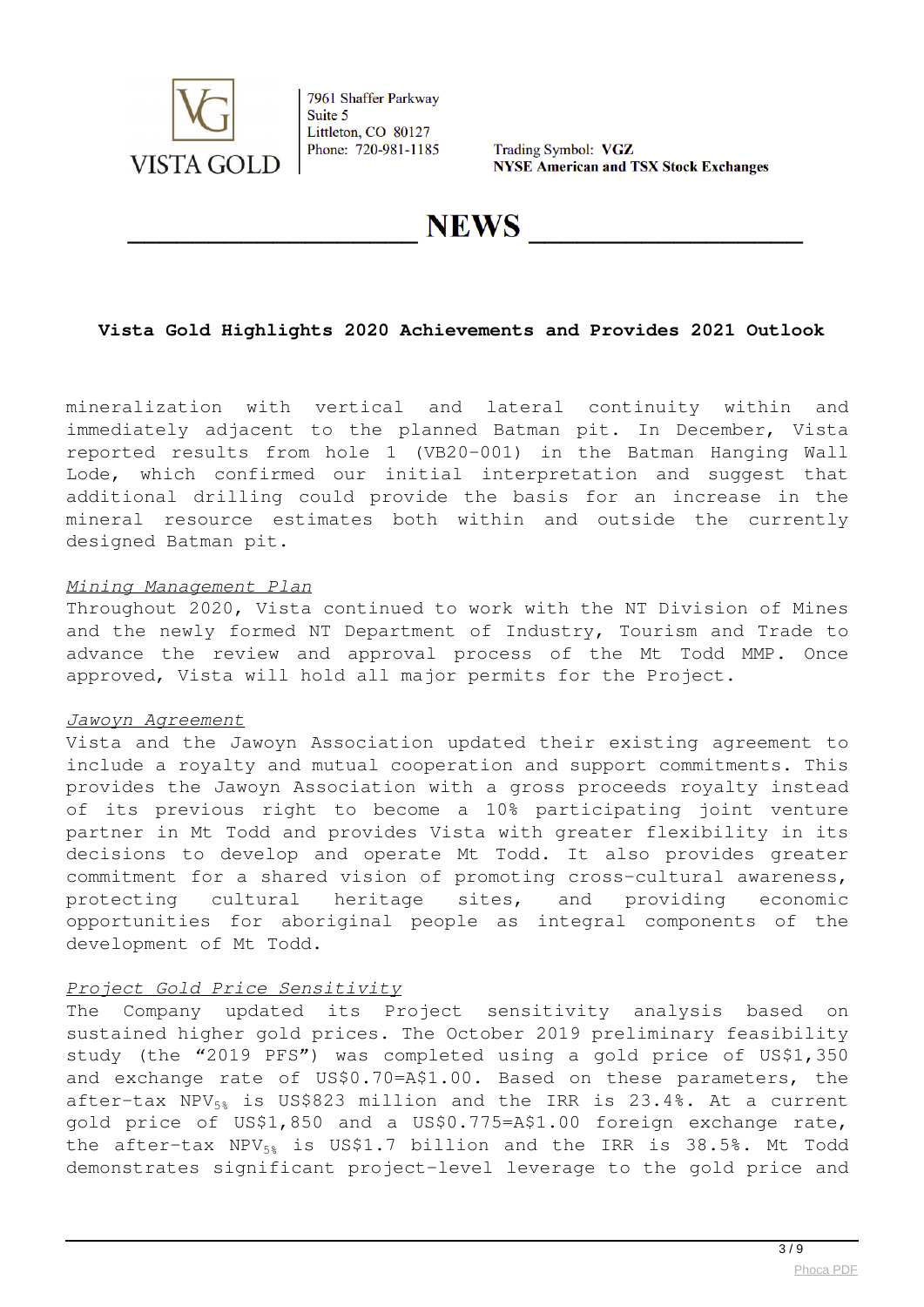

Trading Symbol: VGZ **NYSE American and TSX Stock Exchanges** 

**NEWS** 

# **Vista Gold Highlights 2020 Achievements and Provides 2021 Outlook**

mineralization with vertical and lateral continuity within and immediately adjacent to the planned Batman pit. In December, Vista reported results from hole 1 (VB20-001) in the Batman Hanging Wall Lode, which confirmed our initial interpretation and suggest that additional drilling could provide the basis for an increase in the mineral resource estimates both within and outside the currently designed Batman pit.

## *Mining Management Plan*

Throughout 2020, Vista continued to work with the NT Division of Mines and the newly formed NT Department of Industry, Tourism and Trade to advance the review and approval process of the Mt Todd MMP. Once approved, Vista will hold all major permits for the Project.

## *Jawoyn Agreement*

Vista and the Jawoyn Association updated their existing agreement to include a royalty and mutual cooperation and support commitments. This provides the Jawoyn Association with a gross proceeds royalty instead of its previous right to become a 10% participating joint venture partner in Mt Todd and provides Vista with greater flexibility in its decisions to develop and operate Mt Todd. It also provides greater commitment for a shared vision of promoting cross-cultural awareness, protecting cultural heritage sites, and providing economic opportunities for aboriginal people as integral components of the development of Mt Todd.

## *Project Gold Price Sensitivity*

The Company updated its Project sensitivity analysis based on sustained higher gold prices. The October 2019 preliminary feasibility study (the "2019 PFS") was completed using a gold price of US\$1,350 and exchange rate of US\$0.70=A\$1.00. Based on these parameters, the after-tax NPV $_{58}$  is US\$823 million and the IRR is 23.4%. At a current gold price of US\$1,850 and a US\$0.775=A\$1.00 foreign exchange rate, the after-tax  $NPV_{5\%}$  is US\$1.7 billion and the IRR is 38.5%. Mt Todd demonstrates significant project-level leverage to the gold price and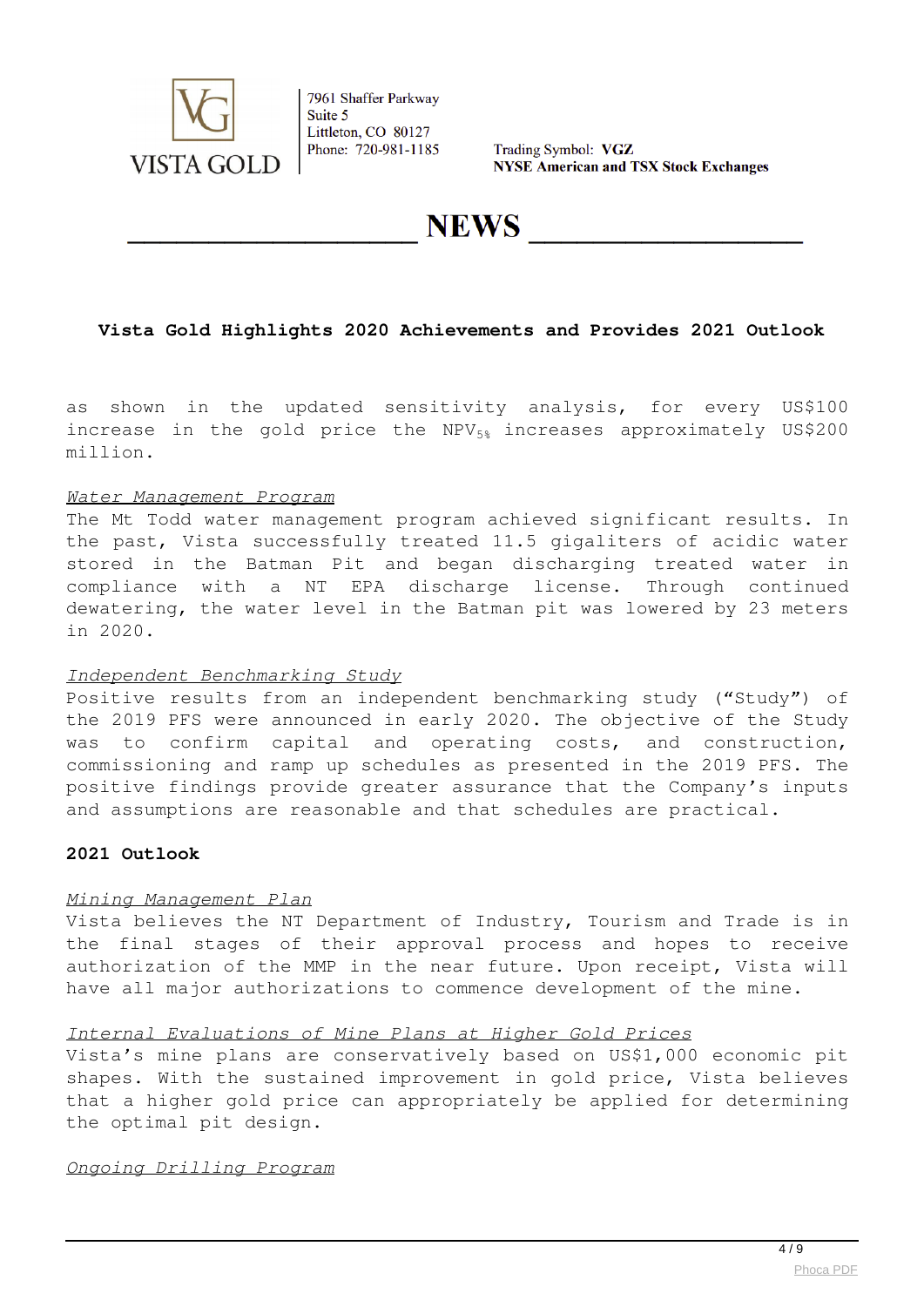

Trading Symbol: VGZ **NYSE American and TSX Stock Exchanges** 

**NEWS** 

# **Vista Gold Highlights 2020 Achievements and Provides 2021 Outlook**

as shown in the updated sensitivity analysis, for every US\$100 increase in the gold price the  $NPV_{5*}$  increases approximately US\$200 million.

#### *Water Management Program*

The Mt Todd water management program achieved significant results. In the past, Vista successfully treated 11.5 gigaliters of acidic water stored in the Batman Pit and began discharging treated water in compliance with a NT EPA discharge license. Through continued dewatering, the water level in the Batman pit was lowered by 23 meters in 2020.

## *Independent Benchmarking Study*

Positive results from an independent benchmarking study ("Study") of the 2019 PFS were announced in early 2020. The objective of the Study was to confirm capital and operating costs, and construction, commissioning and ramp up schedules as presented in the 2019 PFS. The positive findings provide greater assurance that the Company's inputs and assumptions are reasonable and that schedules are practical.

## **2021 Outlook**

## *Mining Management Plan*

Vista believes the NT Department of Industry, Tourism and Trade is in the final stages of their approval process and hopes to receive authorization of the MMP in the near future. Upon receipt, Vista will have all major authorizations to commence development of the mine.

#### *Internal Evaluations of Mine Plans at Higher Gold Prices*

Vista's mine plans are conservatively based on US\$1,000 economic pit shapes. With the sustained improvement in gold price, Vista believes that a higher gold price can appropriately be applied for determining the optimal pit design.

#### *Ongoing Drilling Program*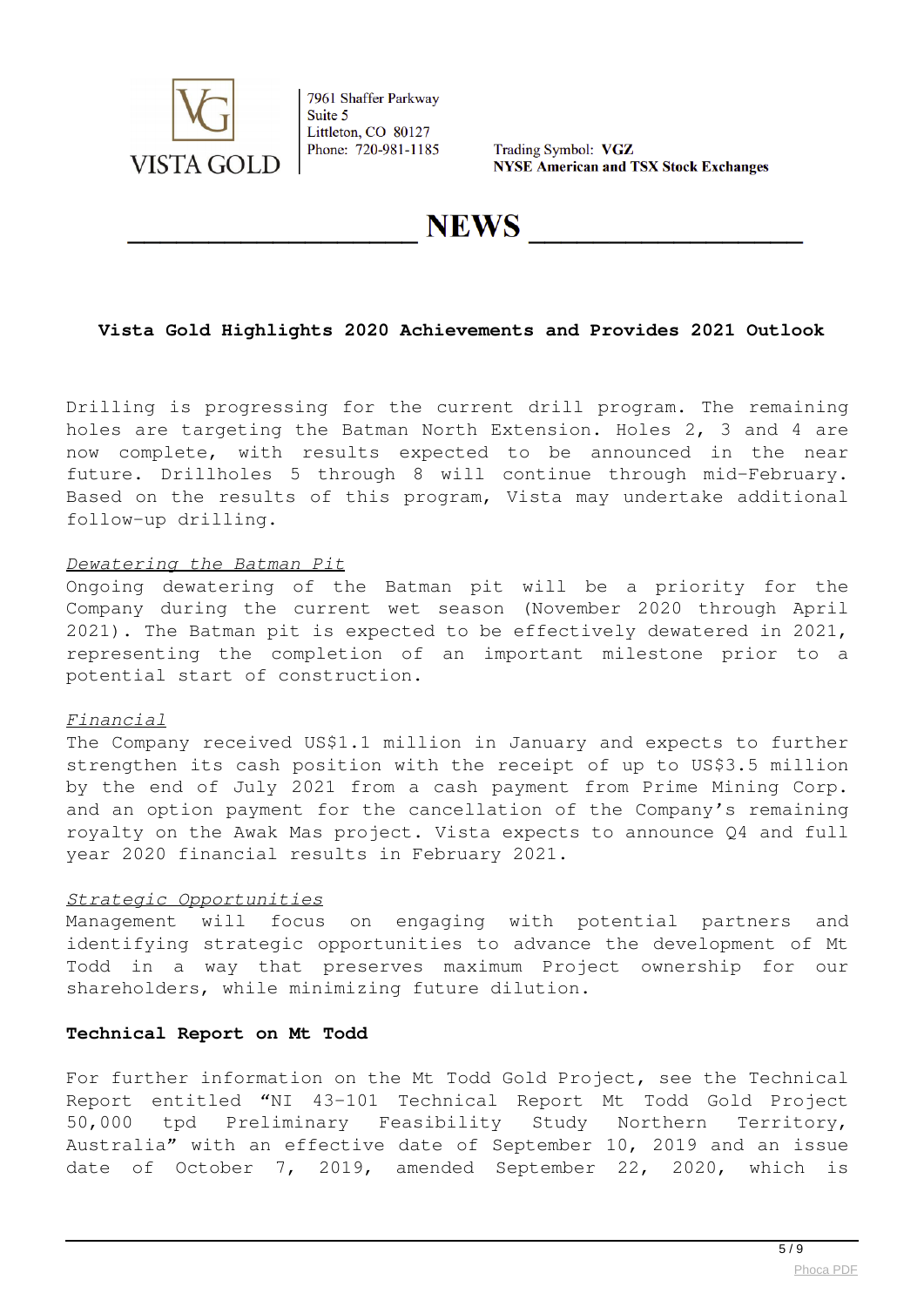

Trading Symbol: VGZ **NYSE American and TSX Stock Exchanges** 

# **NEWS**

# **Vista Gold Highlights 2020 Achievements and Provides 2021 Outlook**

Drilling is progressing for the current drill program. The remaining holes are targeting the Batman North Extension. Holes 2, 3 and 4 are now complete, with results expected to be announced in the near future. Drillholes 5 through 8 will continue through mid-February. Based on the results of this program, Vista may undertake additional follow-up drilling.

#### *Dewatering the Batman Pit*

Ongoing dewatering of the Batman pit will be a priority for the Company during the current wet season (November 2020 through April 2021). The Batman pit is expected to be effectively dewatered in 2021, representing the completion of an important milestone prior to a potential start of construction.

## *Financial*

The Company received US\$1.1 million in January and expects to further strengthen its cash position with the receipt of up to US\$3.5 million by the end of July 2021 from a cash payment from Prime Mining Corp. and an option payment for the cancellation of the Company's remaining royalty on the Awak Mas project. Vista expects to announce Q4 and full year 2020 financial results in February 2021.

## *Strategic Opportunities*

Management will focus on engaging with potential partners and identifying strategic opportunities to advance the development of Mt Todd in a way that preserves maximum Project ownership for our shareholders, while minimizing future dilution.

# **Technical Report on Mt Todd**

For further information on the Mt Todd Gold Project, see the Technical Report entitled "NI 43-101 Technical Report Mt Todd Gold Project 50,000 tpd Preliminary Feasibility Study Northern Territory, Australia" with an effective date of September 10, 2019 and an issue date of October 7, 2019, amended September 22, 2020, which is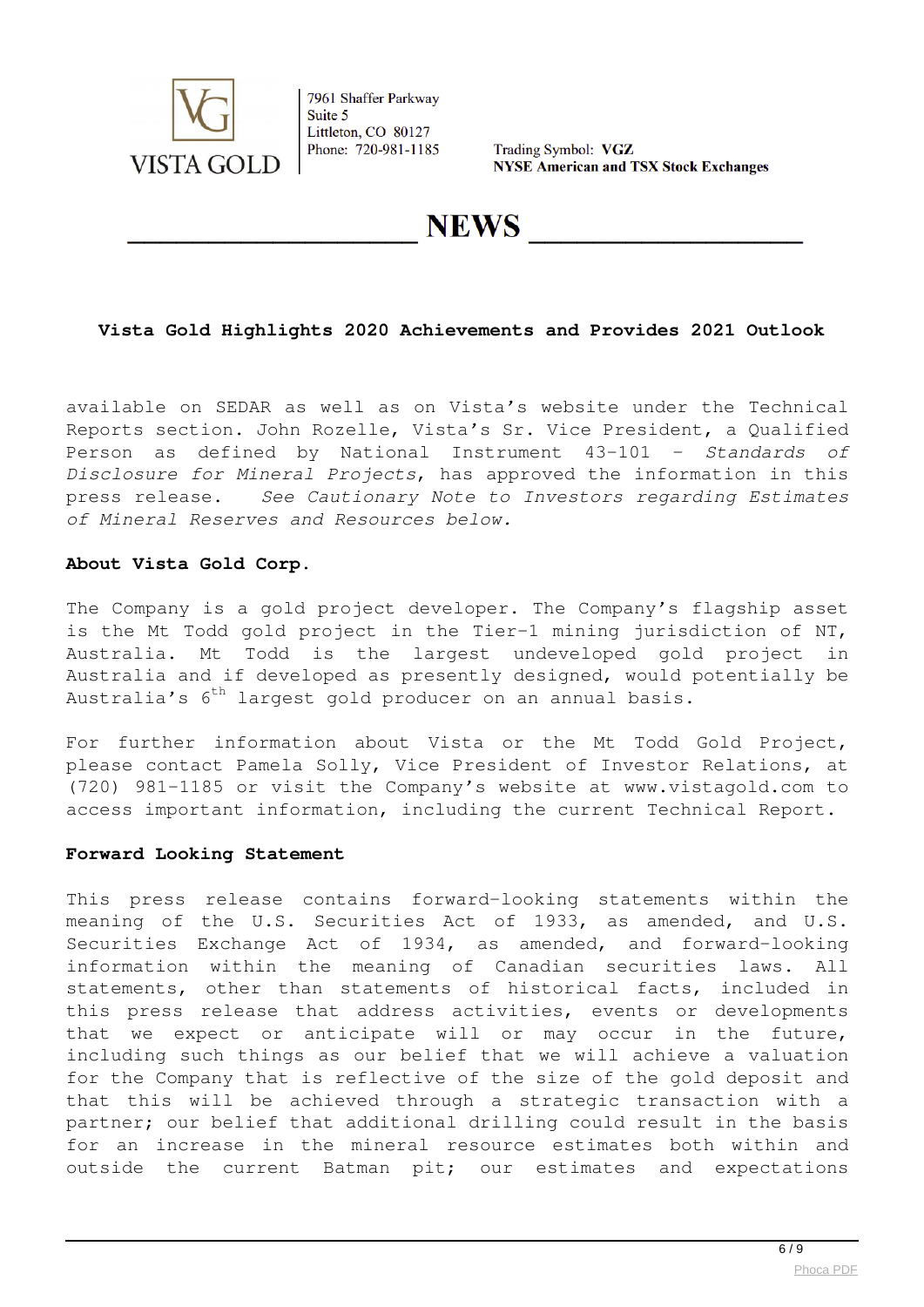

Trading Symbol: VGZ **NYSE American and TSX Stock Exchanges** 

**NEWS** 

## **Vista Gold Highlights 2020 Achievements and Provides 2021 Outlook**

available on SEDAR as well as on Vista's website under the Technical Reports section. John Rozelle, Vista's Sr. Vice President, a Qualified Person as defined by National Instrument 43-101 – *Standards of Disclosure for Mineral Projects*, has approved the information in this press release. *See Cautionary Note to Investors regarding Estimates of Mineral Reserves and Resources below.*

## **About Vista Gold Corp.**

The Company is a gold project developer. The Company's flagship asset is the Mt Todd gold project in the Tier-1 mining jurisdiction of NT, Australia. Mt Todd is the largest undeveloped gold project in Australia and if developed as presently designed, would potentially be Australia's  $6^{th}$  largest gold producer on an annual basis.

For further information about Vista or the Mt Todd Gold Project, please contact Pamela Solly, Vice President of Investor Relations, at (720) 981-1185 or visit the Company's website at www.vistagold.com to access important information, including the current Technical Report.

## **Forward Looking Statement**

This press release contains forward-looking statements within the meaning of the U.S. Securities Act of 1933, as amended, and U.S. Securities Exchange Act of 1934, as amended, and forward-looking information within the meaning of Canadian securities laws. All statements, other than statements of historical facts, included in this press release that address activities, events or developments that we expect or anticipate will or may occur in the future, including such things as our belief that we will achieve a valuation for the Company that is reflective of the size of the gold deposit and that this will be achieved through a strategic transaction with a partner; our belief that additional drilling could result in the basis for an increase in the mineral resource estimates both within and outside the current Batman pit; our estimates and expectations

 $6/9$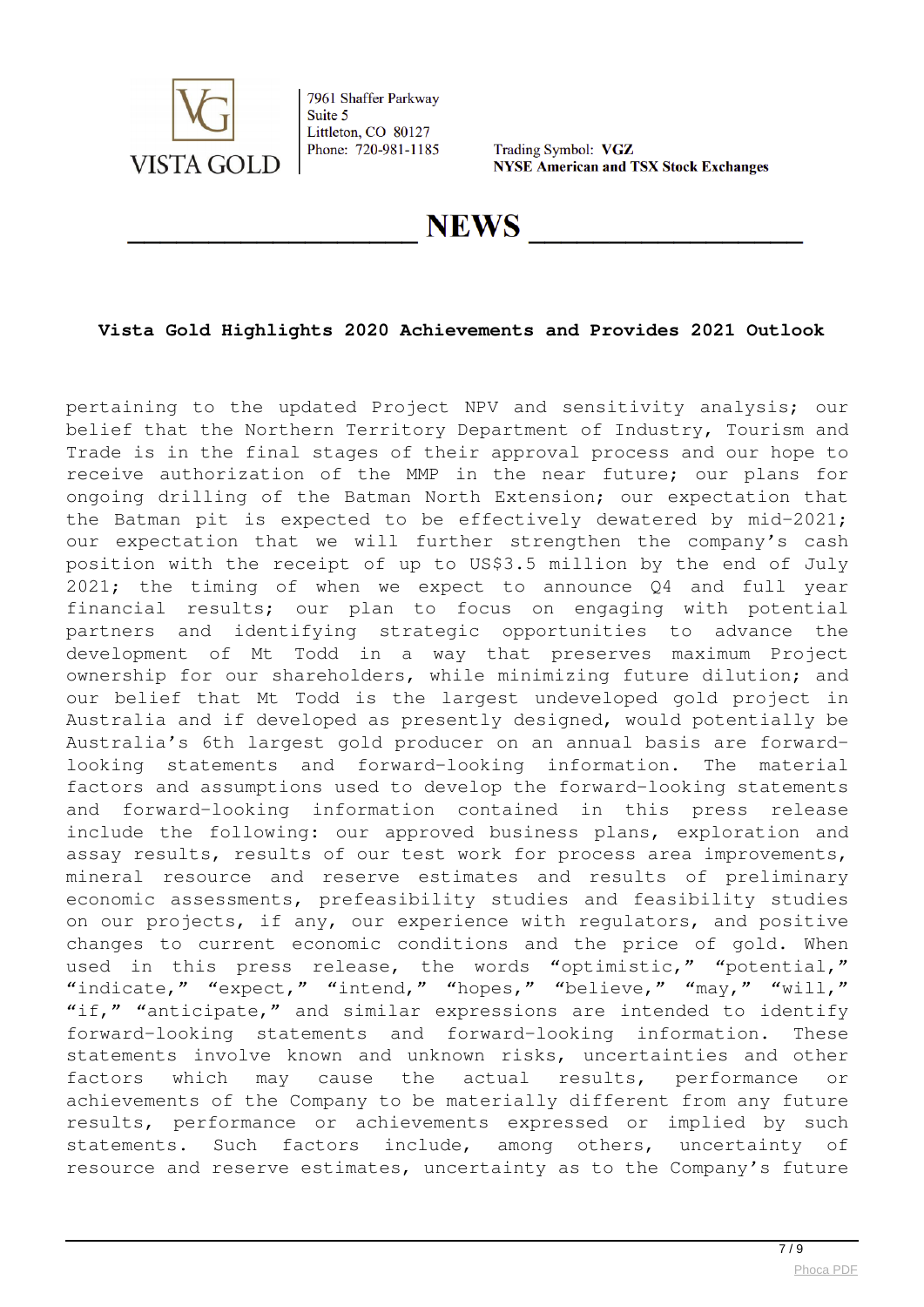

Trading Symbol: VGZ **NYSE American and TSX Stock Exchanges** 

**NEWS** 

# **Vista Gold Highlights 2020 Achievements and Provides 2021 Outlook**

pertaining to the updated Project NPV and sensitivity analysis; our belief that the Northern Territory Department of Industry, Tourism and Trade is in the final stages of their approval process and our hope to receive authorization of the MMP in the near future; our plans for ongoing drilling of the Batman North Extension; our expectation that the Batman pit is expected to be effectively dewatered by mid-2021; our expectation that we will further strengthen the company's cash position with the receipt of up to US\$3.5 million by the end of July 2021; the timing of when we expect to announce Q4 and full year financial results; our plan to focus on engaging with potential partners and identifying strategic opportunities to advance the development of Mt Todd in a way that preserves maximum Project ownership for our shareholders, while minimizing future dilution; and our belief that Mt Todd is the largest undeveloped gold project in Australia and if developed as presently designed, would potentially be Australia's 6th largest gold producer on an annual basis are forwardlooking statements and forward-looking information. The material factors and assumptions used to develop the forward-looking statements and forward-looking information contained in this press release include the following: our approved business plans, exploration and assay results, results of our test work for process area improvements, mineral resource and reserve estimates and results of preliminary economic assessments, prefeasibility studies and feasibility studies on our projects, if any, our experience with regulators, and positive changes to current economic conditions and the price of gold. When used in this press release, the words "optimistic," "potential," "indicate," "expect," "intend," "hopes," "believe," "may," "will," "if," "anticipate," and similar expressions are intended to identify forward-looking statements and forward-looking information. These statements involve known and unknown risks, uncertainties and other factors which may cause the actual results, performance or achievements of the Company to be materially different from any future results, performance or achievements expressed or implied by such statements. Such factors include, among others, uncertainty of resource and reserve estimates, uncertainty as to the Company's future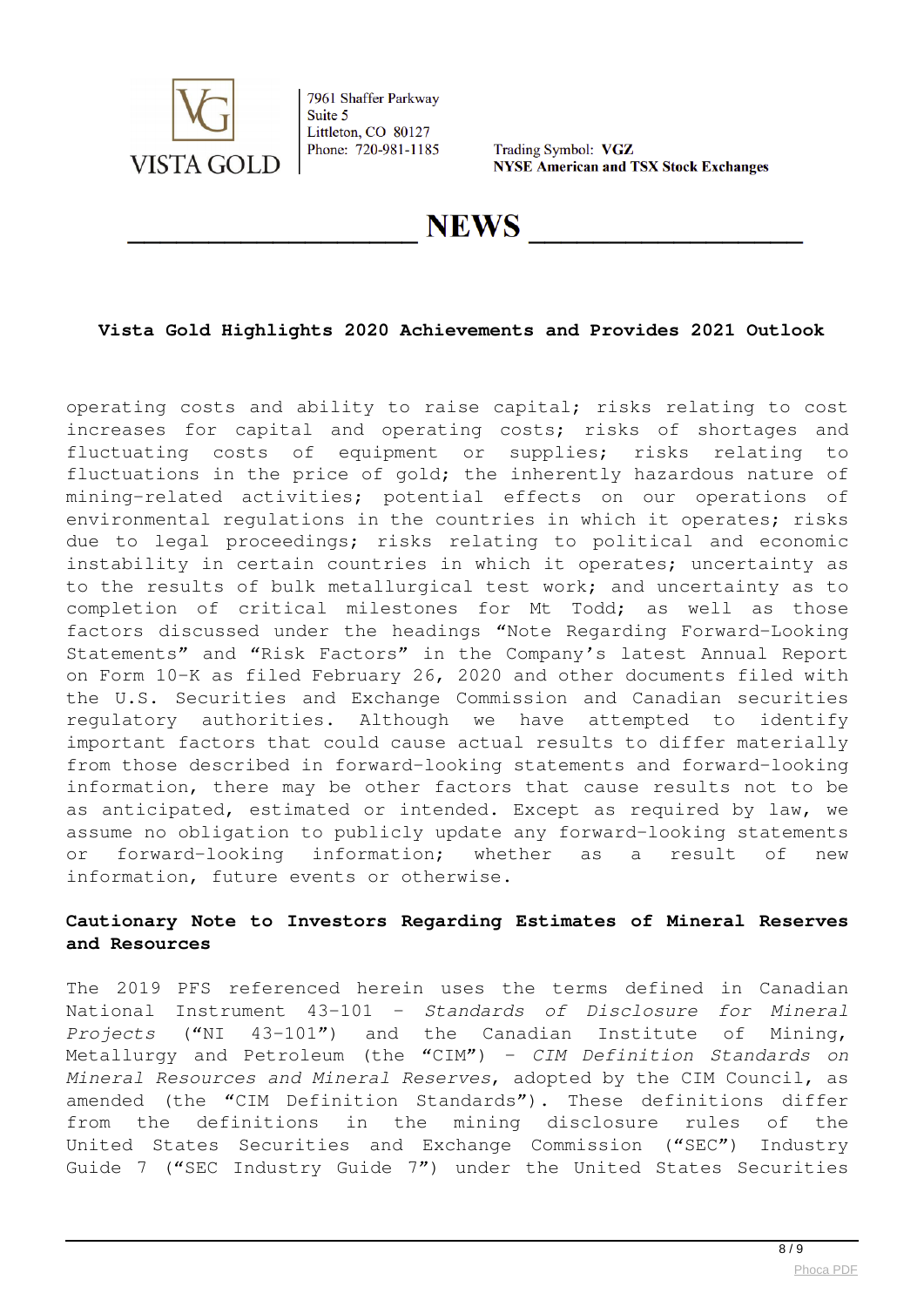

Trading Symbol: VGZ **NYSE American and TSX Stock Exchanges** 

**NEWS** 

# **Vista Gold Highlights 2020 Achievements and Provides 2021 Outlook**

operating costs and ability to raise capital; risks relating to cost increases for capital and operating costs; risks of shortages and fluctuating costs of equipment or supplies; risks relating to fluctuations in the price of gold; the inherently hazardous nature of mining-related activities; potential effects on our operations of environmental regulations in the countries in which it operates; risks due to legal proceedings; risks relating to political and economic instability in certain countries in which it operates; uncertainty as to the results of bulk metallurgical test work; and uncertainty as to completion of critical milestones for Mt Todd; as well as those factors discussed under the headings "Note Regarding Forward-Looking Statements" and "Risk Factors" in the Company's latest Annual Report on Form 10-K as filed February 26, 2020 and other documents filed with the U.S. Securities and Exchange Commission and Canadian securities regulatory authorities. Although we have attempted to identify important factors that could cause actual results to differ materially from those described in forward-looking statements and forward-looking information, there may be other factors that cause results not to be as anticipated, estimated or intended. Except as required by law, we assume no obligation to publicly update any forward-looking statements or forward-looking information; whether as a result of new information, future events or otherwise.

# **Cautionary Note to Investors Regarding Estimates of Mineral Reserves and Resources**

The 2019 PFS referenced herein uses the terms defined in Canadian National Instrument 43-101 – *Standards of Disclosure for Mineral Projects* ("NI 43-101") and the Canadian Institute of Mining, Metallurgy and Petroleum (the "CIM") – *CIM Definition Standards on Mineral Resources and Mineral Reserves*, adopted by the CIM Council, as amended (the "CIM Definition Standards"). These definitions differ from the definitions in the mining disclosure rules of the United States Securities and Exchange Commission ("SEC") Industry Guide 7 ("SEC Industry Guide 7") under the United States Securities

 $8/9$